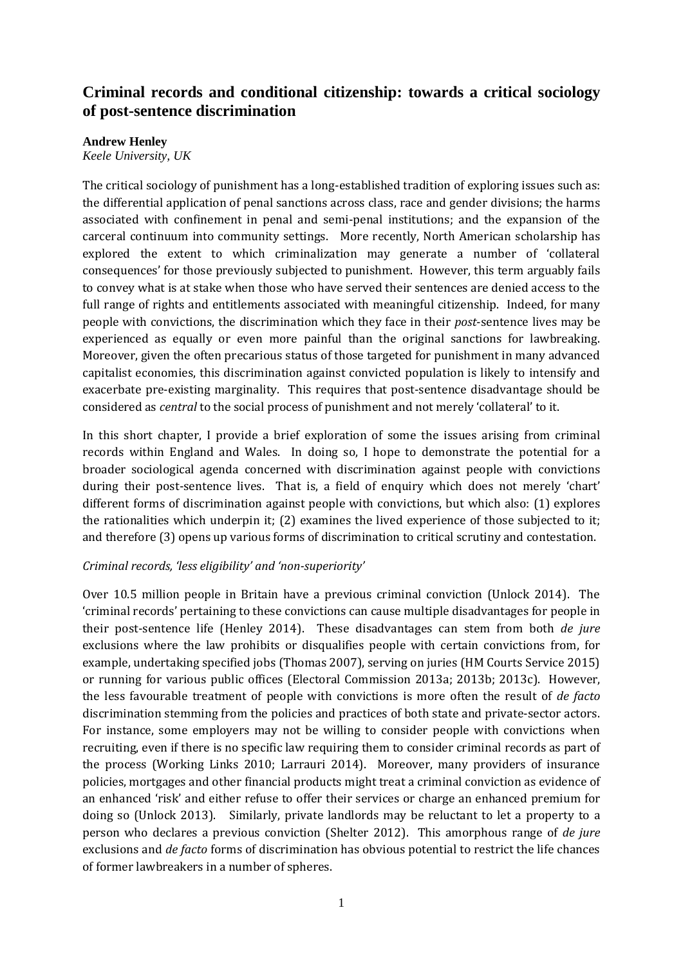# **Criminal records and conditional citizenship: towards a critical sociology of post-sentence discrimination**

### **Andrew Henley**

*Keele University, UK*

The critical sociology of punishment has a long-established tradition of exploring issues such as: the differential application of penal sanctions across class, race and gender divisions; the harms associated with confinement in penal and semi-penal institutions; and the expansion of the carceral continuum into community settings. More recently, North American scholarship has explored the extent to which criminalization may generate a number of 'collateral consequences' for those previously subjected to punishment. However, this term arguably fails to convey what is at stake when those who have served their sentences are denied access to the full range of rights and entitlements associated with meaningful citizenship. Indeed, for many people with convictions, the discrimination which they face in their *post*-sentence lives may be experienced as equally or even more painful than the original sanctions for lawbreaking. Moreover, given the often precarious status of those targeted for punishment in many advanced capitalist economies, this discrimination against convicted population is likely to intensify and exacerbate pre-existing marginality. This requires that post-sentence disadvantage should be considered as *central* to the social process of punishment and not merely 'collateral' to it.

In this short chapter, I provide a brief exploration of some the issues arising from criminal records within England and Wales. In doing so, I hope to demonstrate the potential for a broader sociological agenda concerned with discrimination against people with convictions during their post-sentence lives. That is, a field of enquiry which does not merely 'chart' different forms of discrimination against people with convictions, but which also: (1) explores the rationalities which underpin it; (2) examines the lived experience of those subjected to it; and therefore (3) opens up various forms of discrimination to critical scrutiny and contestation.

### *Criminal records, 'less eligibility' and 'non-superiority'*

Over 10.5 million people in Britain have a previous criminal conviction (Unlock 2014). The 'criminal records' pertaining to these convictions can cause multiple disadvantages for people in their post-sentence life (Henley 2014). These disadvantages can stem from both *de jure* exclusions where the law prohibits or disqualifies people with certain convictions from, for example, undertaking specified jobs (Thomas 2007), serving on juries (HM Courts Service 2015) or running for various public offices (Electoral Commission 2013a; 2013b; 2013c). However, the less favourable treatment of people with convictions is more often the result of *de facto* discrimination stemming from the policies and practices of both state and private-sector actors. For instance, some employers may not be willing to consider people with convictions when recruiting, even if there is no specific law requiring them to consider criminal records as part of the process (Working Links 2010; Larrauri 2014). Moreover, many providers of insurance policies, mortgages and other financial products might treat a criminal conviction as evidence of an enhanced 'risk' and either refuse to offer their services or charge an enhanced premium for doing so (Unlock 2013). Similarly, private landlords may be reluctant to let a property to a person who declares a previous conviction (Shelter 2012). This amorphous range of *de jure* exclusions and *de facto* forms of discrimination has obvious potential to restrict the life chances of former lawbreakers in a number of spheres.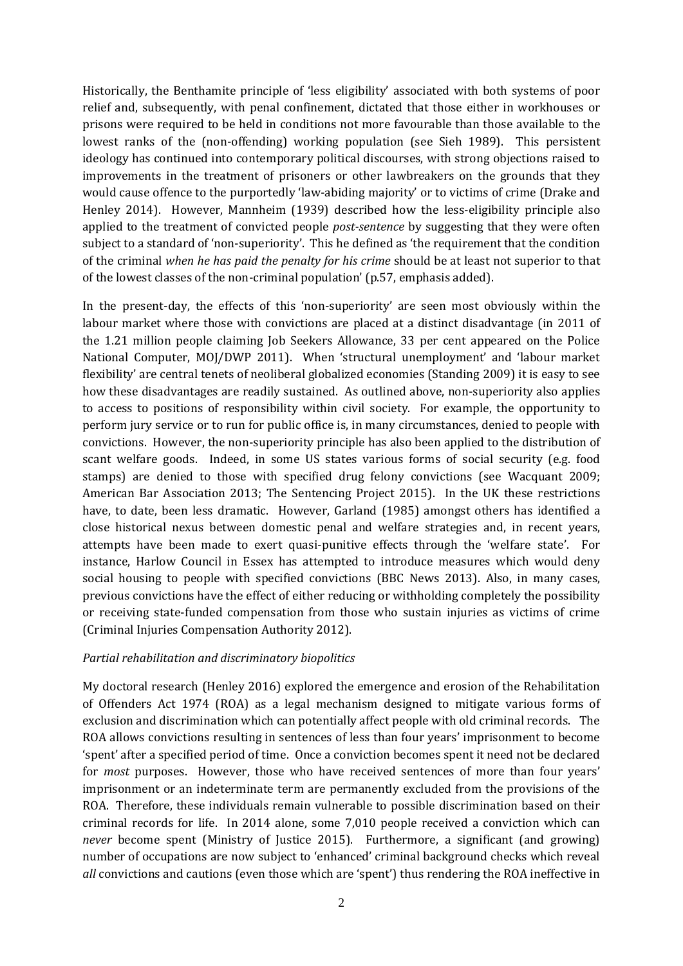Historically, the Benthamite principle of 'less eligibility' associated with both systems of poor relief and, subsequently, with penal confinement, dictated that those either in workhouses or prisons were required to be held in conditions not more favourable than those available to the lowest ranks of the (non-offending) working population (see Sieh 1989). This persistent ideology has continued into contemporary political discourses, with strong objections raised to improvements in the treatment of prisoners or other lawbreakers on the grounds that they would cause offence to the purportedly 'law-abiding majority' or to victims of crime (Drake and Henley 2014). However, Mannheim (1939) described how the less-eligibility principle also applied to the treatment of convicted people *post-sentence* by suggesting that they were often subject to a standard of 'non-superiority'. This he defined as 'the requirement that the condition of the criminal *when he has paid the penalty for his crime* should be at least not superior to that of the lowest classes of the non-criminal population' (p.57, emphasis added).

In the present-day, the effects of this 'non-superiority' are seen most obviously within the labour market where those with convictions are placed at a distinct disadvantage (in 2011 of the 1.21 million people claiming Job Seekers Allowance, 33 per cent appeared on the Police National Computer, MOJ/DWP 2011). When 'structural unemployment' and 'labour market flexibility' are central tenets of neoliberal globalized economies (Standing 2009) it is easy to see how these disadvantages are readily sustained. As outlined above, non-superiority also applies to access to positions of responsibility within civil society. For example, the opportunity to perform jury service or to run for public office is, in many circumstances, denied to people with convictions. However, the non-superiority principle has also been applied to the distribution of scant welfare goods. Indeed, in some US states various forms of social security (e.g. food stamps) are denied to those with specified drug felony convictions (see Wacquant 2009; American Bar Association 2013; The Sentencing Project 2015). In the UK these restrictions have, to date, been less dramatic. However, Garland (1985) amongst others has identified a close historical nexus between domestic penal and welfare strategies and, in recent years, attempts have been made to exert quasi-punitive effects through the 'welfare state'. For instance, Harlow Council in Essex has attempted to introduce measures which would deny social housing to people with specified convictions (BBC News 2013). Also, in many cases, previous convictions have the effect of either reducing or withholding completely the possibility or receiving state-funded compensation from those who sustain injuries as victims of crime (Criminal Injuries Compensation Authority 2012).

### *Partial rehabilitation and discriminatory biopolitics*

My doctoral research (Henley 2016) explored the emergence and erosion of the Rehabilitation of Offenders Act 1974 (ROA) as a legal mechanism designed to mitigate various forms of exclusion and discrimination which can potentially affect people with old criminal records. The ROA allows convictions resulting in sentences of less than four years' imprisonment to become 'spent' after a specified period of time. Once a conviction becomes spent it need not be declared for *most* purposes. However, those who have received sentences of more than four years' imprisonment or an indeterminate term are permanently excluded from the provisions of the ROA. Therefore, these individuals remain vulnerable to possible discrimination based on their criminal records for life. In 2014 alone, some 7,010 people received a conviction which can *never* become spent (Ministry of Justice 2015). Furthermore, a significant (and growing) number of occupations are now subject to 'enhanced' criminal background checks which reveal *all* convictions and cautions (even those which are 'spent') thus rendering the ROA ineffective in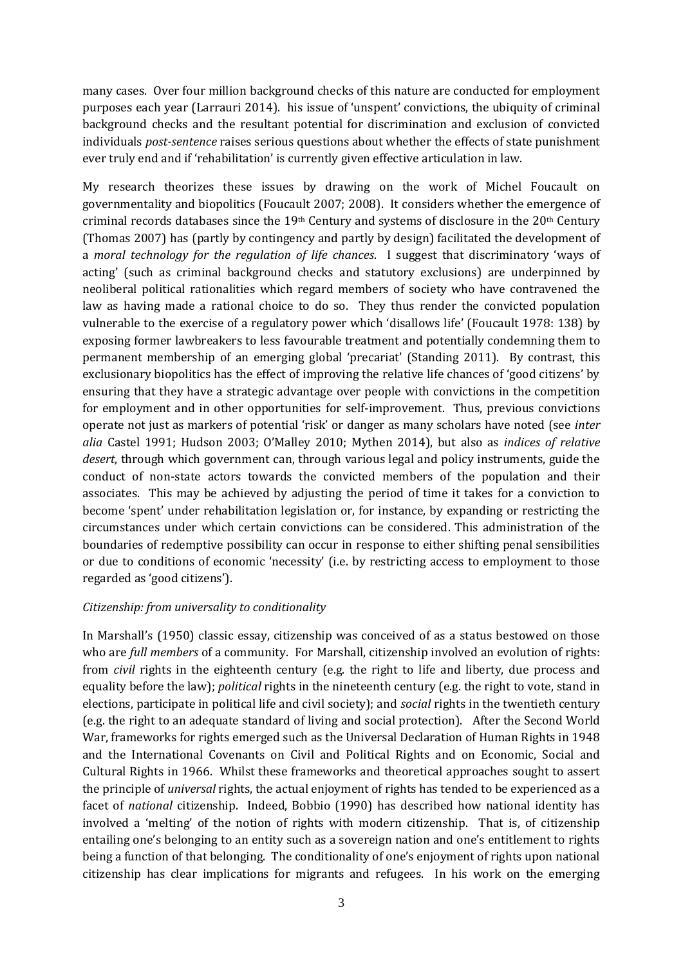many cases. Over four million background checks of this nature are conducted for employment purposes each year (Larrauri 2014). his issue of 'unspent' convictions, the ubiquity of criminal background checks and the resultant potential for discrimination and exclusion of convicted individuals *post-sentence* raises serious questions about whether the effects of state punishment ever truly end and if 'rehabilitation' is currently given effective articulation in law.

My research theorizes these issues by drawing on the work of Michel Foucault on governmentality and biopolitics (Foucault 2007; 2008). It considers whether the emergence of criminal records databases since the  $19<sup>th</sup>$  Century and systems of disclosure in the  $20<sup>th</sup>$  Century (Thomas 2007) has (partly by contingency and partly by design) facilitated the development of a *moral technology for the regulation of life chances*. I suggest that discriminatory 'ways of acting' (such as criminal background checks and statutory exclusions) are underpinned by neoliberal political rationalities which regard members of society who have contravened the law as having made a rational choice to do so. They thus render the convicted population vulnerable to the exercise of a regulatory power which 'disallows life' (Foucault 1978: 138) by exposing former lawbreakers to less favourable treatment and potentially condemning them to permanent membership of an emerging global 'precariat' (Standing 2011). By contrast, this exclusionary biopolitics has the effect of improving the relative life chances of 'good citizens' by ensuring that they have a strategic advantage over people with convictions in the competition for employment and in other opportunities for self-improvement. Thus, previous convictions operate not just as markers of potential 'risk' or danger as many scholars have noted (see *inter alia* Castel 1991; Hudson 2003; O'Malley 2010; Mythen 2014), but also as *indices of relative desert*, through which government can, through various legal and policy instruments, guide the conduct of non-state actors towards the convicted members of the population and their associates. This may be achieved by adjusting the period of time it takes for a conviction to become 'spent' under rehabilitation legislation or, for instance, by expanding or restricting the circumstances under which certain convictions can be considered. This administration of the boundaries of redemptive possibility can occur in response to either shifting penal sensibilities or due to conditions of economic 'necessity' (i.e. by restricting access to employment to those regarded as 'good citizens').

### *Citizenship: from universality to conditionality*

In Marshall's (1950) classic essay, citizenship was conceived of as a status bestowed on those who are *full members* of a community. For Marshall, citizenship involved an evolution of rights: from *civil* rights in the eighteenth century (e.g. the right to life and liberty, due process and equality before the law); *political* rights in the nineteenth century (e.g. the right to vote, stand in elections, participate in political life and civil society); and *social* rights in the twentieth century (e.g. the right to an adequate standard of living and social protection). After the Second World War, frameworks for rights emerged such as the Universal Declaration of Human Rights in 1948 and the International Covenants on Civil and Political Rights and on Economic, Social and Cultural Rights in 1966. Whilst these frameworks and theoretical approaches sought to assert the principle of *universal* rights, the actual enjoyment of rights has tended to be experienced as a facet of *national* citizenship. Indeed, Bobbio (1990) has described how national identity has involved a 'melting' of the notion of rights with modern citizenship. That is, of citizenship entailing one's belonging to an entity such as a sovereign nation and one's entitlement to rights being a function of that belonging. The conditionality of one's enjoyment of rights upon national citizenship has clear implications for migrants and refugees. In his work on the emerging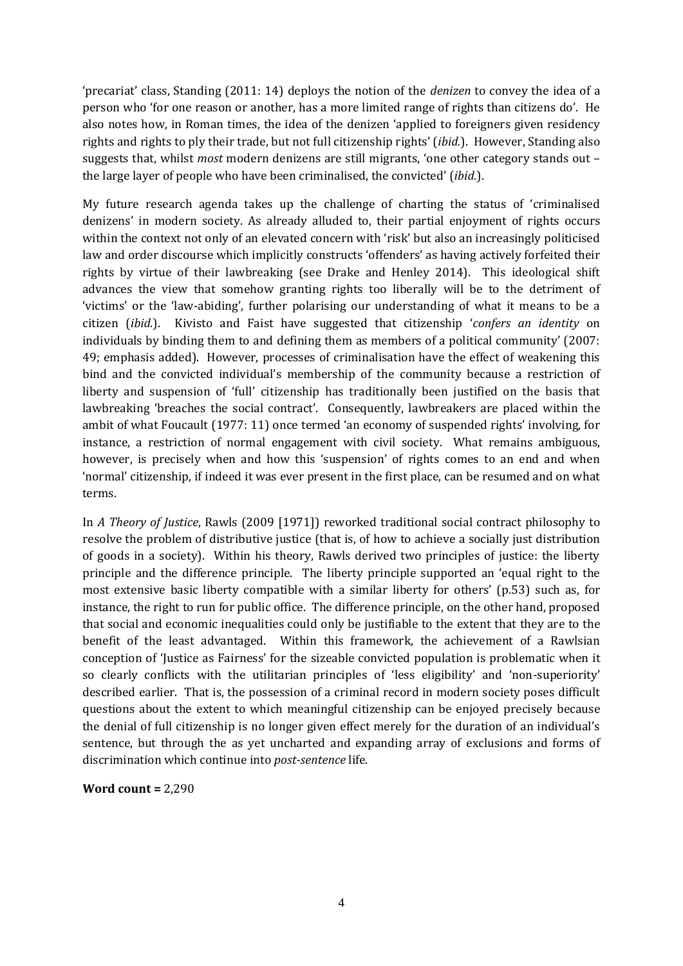'precariat' class, Standing (2011: 14) deploys the notion of the *denizen* to convey the idea of a person who 'for one reason or another, has a more limited range of rights than citizens do'. He also notes how, in Roman times, the idea of the denizen 'applied to foreigners given residency rights and rights to ply their trade, but not full citizenship rights' (*ibid.*). However, Standing also suggests that, whilst *most* modern denizens are still migrants, 'one other category stands out – the large layer of people who have been criminalised, the convicted' (*ibid.*).

My future research agenda takes up the challenge of charting the status of 'criminalised denizens' in modern society. As already alluded to, their partial enjoyment of rights occurs within the context not only of an elevated concern with 'risk' but also an increasingly politicised law and order discourse which implicitly constructs 'offenders' as having actively forfeited their rights by virtue of their lawbreaking (see Drake and Henley 2014). This ideological shift advances the view that somehow granting rights too liberally will be to the detriment of 'victims' or the 'law-abiding', further polarising our understanding of what it means to be a citizen (*ibid.*). Kivisto and Faist have suggested that citizenship '*confers an identity* on individuals by binding them to and defining them as members of a political community' (2007: 49; emphasis added). However, processes of criminalisation have the effect of weakening this bind and the convicted individual's membership of the community because a restriction of liberty and suspension of 'full' citizenship has traditionally been justified on the basis that lawbreaking 'breaches the social contract'. Consequently, lawbreakers are placed within the ambit of what Foucault (1977: 11) once termed 'an economy of suspended rights' involving, for instance, a restriction of normal engagement with civil society. What remains ambiguous, however, is precisely when and how this 'suspension' of rights comes to an end and when 'normal' citizenship, if indeed it was ever present in the first place, can be resumed and on what terms.

In *A Theory of Justice*, Rawls (2009 [1971]) reworked traditional social contract philosophy to resolve the problem of distributive justice (that is, of how to achieve a socially just distribution of goods in a society). Within his theory, Rawls derived two principles of justice: the liberty principle and the difference principle. The liberty principle supported an 'equal right to the most extensive basic liberty compatible with a similar liberty for others' (p.53) such as, for instance, the right to run for public office. The difference principle, on the other hand, proposed that social and economic inequalities could only be justifiable to the extent that they are to the benefit of the least advantaged. Within this framework, the achievement of a Rawlsian conception of 'Justice as Fairness' for the sizeable convicted population is problematic when it so clearly conflicts with the utilitarian principles of 'less eligibility' and 'non-superiority' described earlier. That is, the possession of a criminal record in modern society poses difficult questions about the extent to which meaningful citizenship can be enjoyed precisely because the denial of full citizenship is no longer given effect merely for the duration of an individual's sentence, but through the as yet uncharted and expanding array of exclusions and forms of discrimination which continue into *post-sentence* life.

**Word count =** 2,290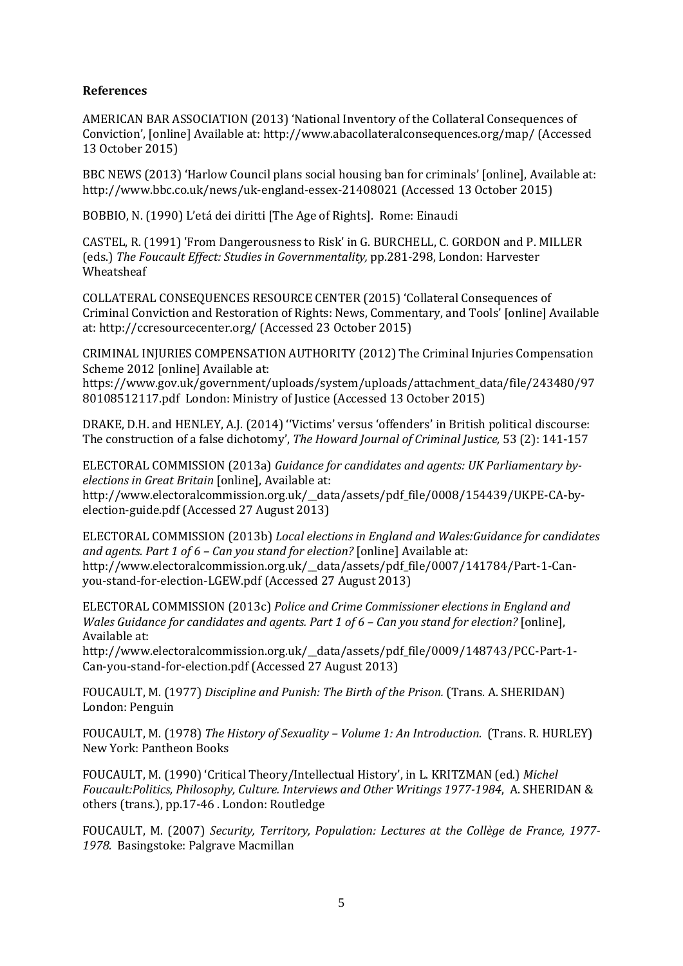## **References**

AMERICAN BAR ASSOCIATION (2013) 'National Inventory of the Collateral Consequences of Conviction', [online] Available at: http://www.abacollateralconsequences.org/map/ (Accessed 13 October 2015)

BBC NEWS (2013) 'Harlow Council plans social housing ban for criminals' [online], Available at: http://www.bbc.co.uk/news/uk-england-essex-21408021 (Accessed 13 October 2015)

BOBBIO, N. (1990) L'etá dei diritti [The Age of Rights]. Rome: Einaudi

CASTEL, R. (1991) 'From Dangerousness to Risk' in G. BURCHELL, C. GORDON and P. MILLER (eds.) *The Foucault Effect: Studies in Governmentality,* pp.281-298, London: Harvester Wheatsheaf

COLLATERAL CONSEQUENCES RESOURCE CENTER (2015) 'Collateral Consequences of Criminal Conviction and Restoration of Rights: News, Commentary, and Tools' [online] Available at: http://ccresourcecenter.org/ (Accessed 23 October 2015)

CRIMINAL INJURIES COMPENSATION AUTHORITY (2012) The Criminal Injuries Compensation Scheme 2012 [online] Available at:

https://www.gov.uk/government/uploads/system/uploads/attachment\_data/file/243480/97 80108512117.pdf London: Ministry of Justice (Accessed 13 October 2015)

DRAKE, D.H. and HENLEY, A.J. (2014) ''Victims' versus 'offenders' in British political discourse: The construction of a false dichotomy', *The Howard Journal of Criminal Justice,* 53 (2): 141-157

ELECTORAL COMMISSION (2013a) *Guidance for candidates and agents: UK Parliamentary byelections in Great Britain* [online], Available at:

http://www.electoralcommission.org.uk/\_\_data/assets/pdf\_file/0008/154439/UKPE-CA-byelection-guide.pdf (Accessed 27 August 2013)

ELECTORAL COMMISSION (2013b) *Local elections in England and Wales:Guidance for candidates and agents. Part 1 of 6 – Can you stand for election?* [online] Available at: http://www.electoralcommission.org.uk/\_\_data/assets/pdf\_file/0007/141784/Part-1-Canyou-stand-for-election-LGEW.pdf (Accessed 27 August 2013)

ELECTORAL COMMISSION (2013c) *Police and Crime Commissioner elections in England and Wales Guidance for candidates and agents. Part 1 of 6 – Can you stand for election?* [online], Available at:

http://www.electoralcommission.org.uk/\_\_data/assets/pdf\_file/0009/148743/PCC-Part-1- Can-you-stand-for-election.pdf (Accessed 27 August 2013)

FOUCAULT, M. (1977) *Discipline and Punish: The Birth of the Prison.* (Trans. A. SHERIDAN) London: Penguin

FOUCAULT, M. (1978) *The History of Sexuality – Volume 1: An Introduction.* (Trans. R. HURLEY) New York: Pantheon Books

FOUCAULT, M. (1990) 'Critical Theory/Intellectual History', in L. KRITZMAN (ed.) *Michel Foucault:Politics, Philosophy, Culture. Interviews and Other Writings 1977-1984*, A. SHERIDAN & others (trans.), pp.17-46 . London: Routledge

FOUCAULT, M. (2007) *Security, Territory, Population: Lectures at the Collège de France, 1977- 1978.* Basingstoke: Palgrave Macmillan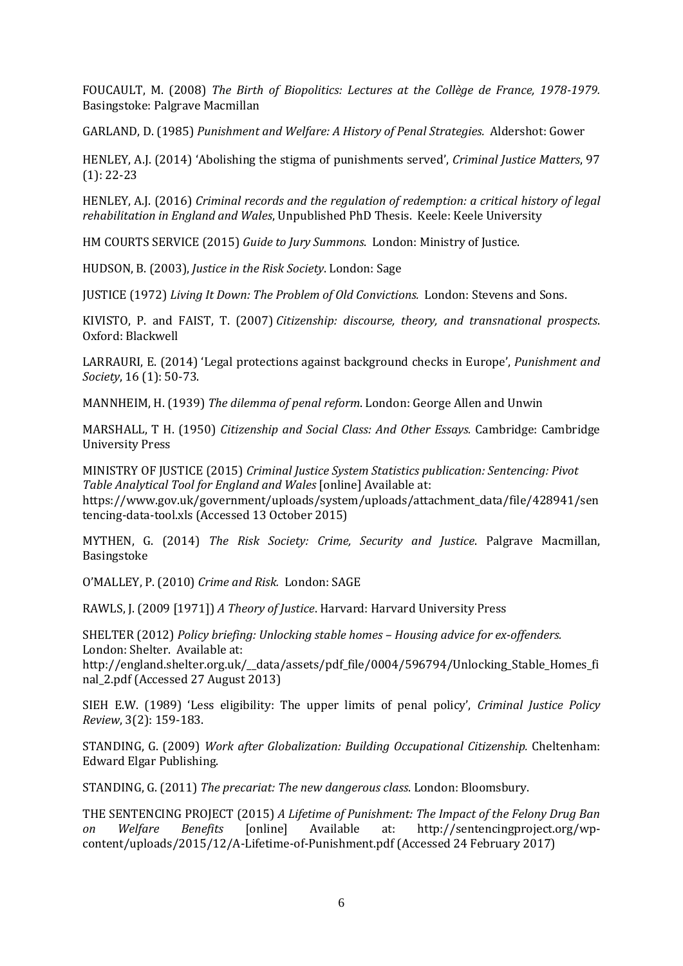FOUCAULT, M. (2008) *The Birth of Biopolitics: Lectures at the Collège de France, 1978-1979.*  Basingstoke: Palgrave Macmillan

GARLAND, D. (1985) *Punishment and Welfare: A History of Penal Strategies.* Aldershot: Gower

HENLEY, A.J. (2014) 'Abolishing the stigma of punishments served', *Criminal Justice Matters*, 97 (1): 22-23

HENLEY, A.J. (2016) *Criminal records and the regulation of redemption: a critical history of legal rehabilitation in England and Wales*, Unpublished PhD Thesis. Keele: Keele University

HM COURTS SERVICE (2015) *Guide to Jury Summons*. London: Ministry of Justice.

HUDSON, B. (2003), *Justice in the Risk Society*. London: Sage

JUSTICE (1972) *Living It Down: The Problem of Old Convictions.* London: Stevens and Sons.

KIVISTO, P. and FAIST, T. (2007) *Citizenship: discourse, theory, and transnational prospects*. Oxford: Blackwell

LARRAURI, E. (2014) 'Legal protections against background checks in Europe', *Punishment and Society*, 16 (1): 50-73.

MANNHEIM, H. (1939) *The dilemma of penal reform*. London: George Allen and Unwin

MARSHALL, T H. (1950) *Citizenship and Social Class: And Other Essays.* Cambridge: Cambridge University Press

MINISTRY OF JUSTICE (2015) *Criminal Justice System Statistics publication: Sentencing: Pivot Table Analytical Tool for England and Wales* [online] Available at: https://www.gov.uk/government/uploads/system/uploads/attachment\_data/file/428941/sen tencing-data-tool.xls (Accessed 13 October 2015)

MYTHEN, G. (2014) *The Risk Society: Crime, Security and Justice*. Palgrave Macmillan, Basingstoke

O'MALLEY, P. (2010) *Crime and Risk.* London: SAGE

RAWLS, J. (2009 [1971]) *A Theory of Justice*. Harvard: Harvard University Press

SHELTER (2012) *Policy briefing: Unlocking stable homes – Housing advice for ex-offenders.* London: Shelter. Available at:

http://england.shelter.org.uk/\_\_data/assets/pdf\_file/0004/596794/Unlocking\_Stable\_Homes\_fi nal\_2.pdf (Accessed 27 August 2013)

SIEH E.W. (1989) 'Less eligibility: The upper limits of penal policy', *Criminal Justice Policy Review*, 3(2): 159-183.

STANDING, G. (2009) *Work after Globalization: Building Occupational Citizenship.* Cheltenham: Edward Elgar Publishing.

STANDING, G. (2011) *The precariat: The new dangerous class*. London: Bloomsbury.

THE SENTENCING PROJECT (2015) *A Lifetime of Punishment: The Impact of the Felony Drug Ban on Welfare Benefits* [online] Available at: http://sentencingproject.org/wpcontent/uploads/2015/12/A-Lifetime-of-Punishment.pdf (Accessed 24 February 2017)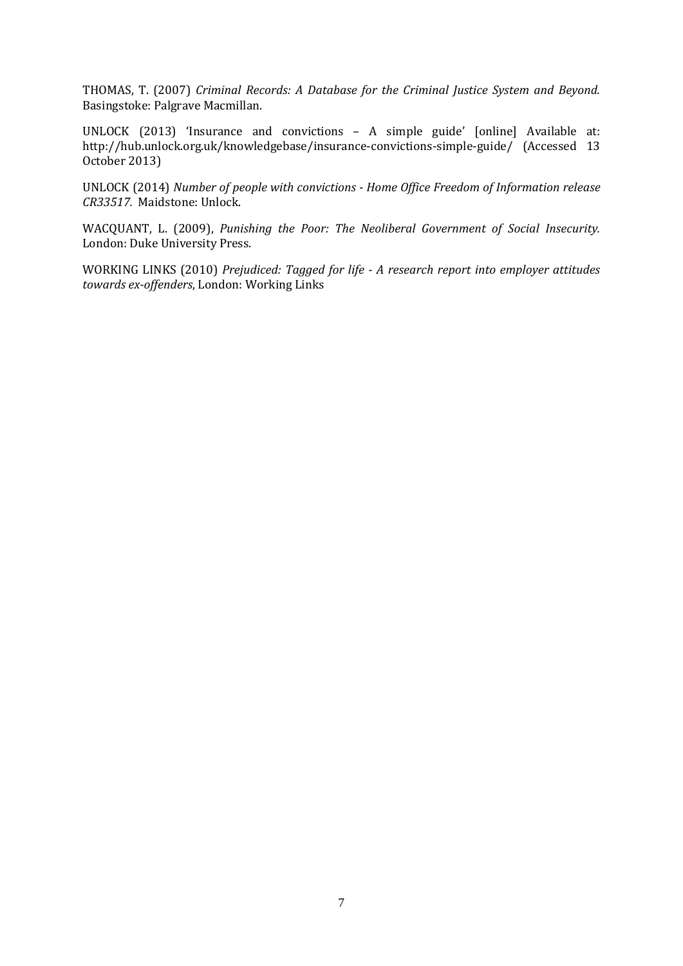THOMAS, T. (2007) *Criminal Records: A Database for the Criminal Justice System and Beyond.* Basingstoke: Palgrave Macmillan.

UNLOCK (2013) 'Insurance and convictions – A simple guide' [online] Available at: http://hub.unlock.org.uk/knowledgebase/insurance-convictions-simple-guide/ (Accessed 13 October 2013)

UNLOCK (2014) *Number of people with convictions - Home Office Freedom of Information release CR33517.* Maidstone: Unlock.

WACQUANT, L. (2009), *Punishing the Poor: The Neoliberal Government of Social Insecurity.* London: Duke University Press.

WORKING LINKS (2010) *Prejudiced: Tagged for life - A research report into employer attitudes towards ex-offenders*, London: Working Links